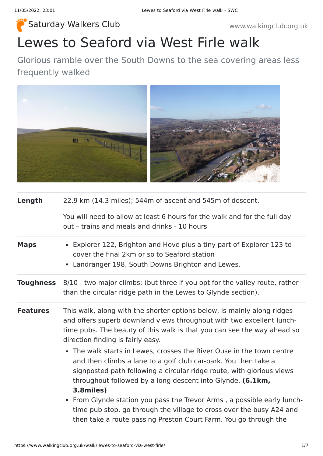**[Saturday Walkers Club](https://www.walkingclub.org.uk/) Walkers 2008** Weight Watch Weight Weight Weight Weight Weight Weight Weight Weight Weight W

# Lewes to Seaford via West Firle walk

Glorious ramble over the South Downs to the sea covering areas less frequently walked



| Length           | 22.9 km (14.3 miles); 544m of ascent and 545m of descent.                                                                                                                                                                                                                                    |
|------------------|----------------------------------------------------------------------------------------------------------------------------------------------------------------------------------------------------------------------------------------------------------------------------------------------|
|                  | You will need to allow at least 6 hours for the walk and for the full day<br>out - trains and meals and drinks - 10 hours                                                                                                                                                                    |
| <b>Maps</b>      | • Explorer 122, Brighton and Hove plus a tiny part of Explorer 123 to<br>cover the final 2km or so to Seaford station<br>• Landranger 198, South Downs Brighton and Lewes.                                                                                                                   |
| <b>Toughness</b> | 8/10 - two major climbs; (but three if you opt for the valley route, rather<br>than the circular ridge path in the Lewes to Glynde section).                                                                                                                                                 |
| <b>Features</b>  | This walk, along with the shorter options below, is mainly along ridges<br>and offers superb downland views throughout with two excellent lunch-<br>time pubs. The beauty of this walk is that you can see the way ahead so<br>direction finding is fairly easy.                             |
|                  | • The walk starts in Lewes, crosses the River Ouse in the town centre<br>and then climbs a lane to a golf club car-park. You then take a<br>signposted path following a circular ridge route, with glorious views<br>throughout followed by a long descent into Glynde. (6.1km,<br>3.8miles) |
|                  | • From Glynde station you pass the Trevor Arms, a possible early lunch-<br>time pub stop, go through the village to cross over the busy A24 and<br>then take a route passing Preston Court Farm. You go through the                                                                          |

https://www.walkingclub.org.uk/walk/lewes-to-seaford-via-west-firle/ 1/7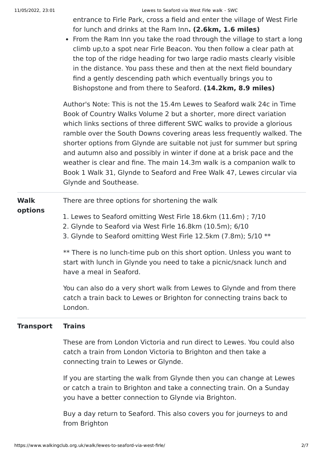entrance to Firle Park, cross a field and enter the village of West Firle for lunch and drinks at the Ram Inn**. (2.6km, 1.6 miles)**

• From the Ram Inn you take the road through the village to start a long climb up,to a spot near Firle Beacon. You then follow a clear path at the top of the ridge heading for two large radio masts clearly visible in the distance. You pass these and then at the next field boundary find a gently descending path which eventually brings you to Bishopstone and from there to Seaford. **(14.2km, 8.9 miles)**

Author's Note: This is not the 15.4m Lewes to Seaford walk 24c in Time Book of Country Walks Volume 2 but a shorter, more direct variation which links sections of three different SWC walks to provide a glorious ramble over the South Downs covering areas less frequently walked. The shorter options from Glynde are suitable not just for summer but spring and autumn also and possibly in winter if done at a brisk pace and the weather is clear and fine. The main 14.3m walk is a companion walk to Book 1 Walk 31, Glynde to Seaford and Free Walk 47, Lewes circular via Glynde and Southease.

### **options**

- 1. Lewes to Seaford omitting West Firle 18.6km (11.6m) ; 7/10
- 2. Glynde to Seaford via West Firle 16.8km (10.5m); 6/10
- 3. Glynde to Seaford omitting West Firle 12.5km (7.8m); 5/10 \*\*

\*\* There is no lunch-time pub on this short option. Unless you want to start with lunch in Glynde you need to take a picnic/snack lunch and have a meal in Seaford.

You can also do a very short walk from Lewes to Glynde and from there catch a train back to Lewes or Brighton for connecting trains back to London.

#### **Transport Trains**

These are from London Victoria and run direct to Lewes. You could also catch a train from London Victoria to Brighton and then take a connecting train to Lewes or Glynde.

If you are starting the walk from Glynde then you can change at Lewes or catch a train to Brighton and take a connecting train. On a Sunday you have a better connection to Glynde via Brighton.

Buy a day return to Seaford. This also covers you for journeys to and from Brighton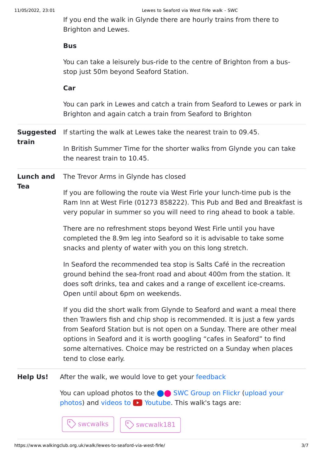If you end the walk in Glynde there are hourly trains from there to Brighton and Lewes.

#### **Bus**

You can take a leisurely bus-ride to the centre of Brighton from a busstop just 50m beyond Seaford Station.

#### **Car**

You can park in Lewes and catch a train from Seaford to Lewes or park in Brighton and again catch a train from Seaford to Brighton

**Suggested** If starting the walk at Lewes take the nearest train to 09.45.

> In British Summer Time for the shorter walks from Glynde you can take the nearest train to 10.45.

**Lunch and** The Trevor Arms in Glynde has closed

#### **Tea**

**train**

If you are following the route via West Firle your lunch-time pub is the Ram Inn at West Firle (01273 858222). This Pub and Bed and Breakfast is very popular in summer so you will need to ring ahead to book a table.

There are no refreshment stops beyond West Firle until you have completed the 8.9m leg into Seaford so it is advisable to take some snacks and plenty of water with you on this long stretch.

In Seaford the recommended tea stop is Salts Café in the recreation ground behind the sea-front road and about 400m from the station. It does soft drinks, tea and cakes and a range of excellent ice-creams. Open until about 6pm on weekends.

If you did the short walk from Glynde to Seaford and want a meal there then Trawlers fish and chip shop is recommended. It is just a few yards from Seaford Station but is not open on a Sunday. There are other meal options in Seaford and it is worth googling "cafes in Seaford" to find some alternatives. Choice may be restricted on a Sunday when places tend to close early.

**Help Us!** After the walk, we would love to get your [feedback](https://www.walkingclub.org.uk/walk/lewes-to-seaford-via-west-firle/comments.html)

swcwalks  $|\cdot|$   $\circ$  swcwalk181

You can upload photos to the **v** [SWC Group on Flickr](http://www.flickr.com/groups/swc) (upload your photos) and videos to  $\triangleright$  Youtube. This walk's tags are: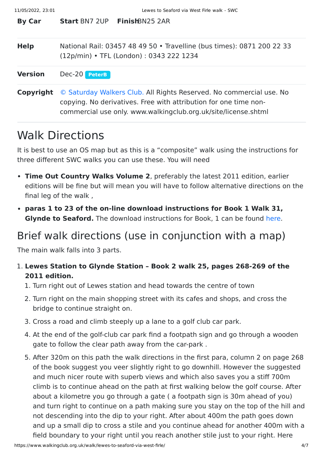| <b>By Car</b>  | <b>Start BN7 2UP FinishBN25 2AR</b>                                                                                                                                                                       |
|----------------|-----------------------------------------------------------------------------------------------------------------------------------------------------------------------------------------------------------|
| <b>Help</b>    | National Rail: 03457 48 49 50 • Travelline (bus times): 0871 200 22 33<br>(12p/min) • TFL (London): 0343 222 1234                                                                                         |
| <b>Version</b> | Dec-20 PeterB                                                                                                                                                                                             |
| Copyright      | © Saturday Walkers Club. All Rights Reserved. No commercial use. No<br>copying. No derivatives. Free with attribution for one time non-<br>commercial use only. www.walkingclub.org.uk/site/license.shtml |

# Walk Directions

It is best to use an OS map but as this is a "composite" walk using the instructions for three different SWC walks you can use these. You will need

- **Time Out Country Walks Volume 2**, preferably the latest 2011 edition, earlier editions will be fine but will mean you will have to follow alternative directions on the final leg of the walk ,
- **paras 1 to 23 of the on-line download instructions for Book 1 Walk 31, Glynde to Seaford.** The download instructions for Book, 1 can be found [here.](https://www.walkingclub.org.uk/book_1/walk_31/index.shtml)

## Brief walk directions (use in conjunction with a map)

The main walk falls into 3 parts.

- 1. **Lewes Station to Glynde Station Book 2 walk 25, pages 268-269 of the 2011 edition.**
	- 1. Turn right out of Lewes station and head towards the centre of town
	- 2. Turn right on the main shopping street with its cafes and shops, and cross the bridge to continue straight on.
	- 3. Cross a road and climb steeply up a lane to a golf club car park.
	- 4. At the end of the golf-club car park find a footpath sign and go through a wooden gate to follow the clear path away from the car-park .
	- 5. After 320m on this path the walk directions in the first para, column 2 on page 268 of the book suggest you veer slightly right to go downhill. However the suggested and much nicer route with superb views and which also saves you a stiff 700m climb is to continue ahead on the path at first walking below the golf course. After about a kilometre you go through a gate ( a footpath sign is 30m ahead of you) and turn right to continue on a path making sure you stay on the top of the hill and not descending into the dip to your right. After about 400m the path goes down and up a small dip to cross a stile and you continue ahead for another 400m with a field boundary to your right until you reach another stile just to your right. Here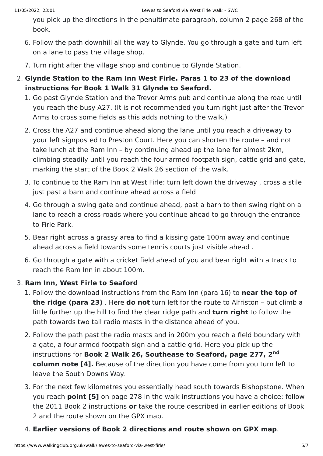you pick up the directions in the penultimate paragraph, column 2 page 268 of the book.

- 6. Follow the path downhill all the way to Glynde. You go through a gate and turn left on a lane to pass the village shop.
- 7. Turn right after the village shop and continue to Glynde Station.
- 2. **Glynde Station to the Ram Inn West Firle. Paras 1 to 23 of the download instructions for Book 1 Walk 31 Glynde to Seaford.**
	- 1. Go past Glynde Station and the Trevor Arms pub and continue along the road until you reach the busy A27. (It is not recommended you turn right just after the Trevor Arms to cross some fields as this adds nothing to the walk.)
	- 2. Cross the A27 and continue ahead along the lane until you reach a driveway to your left signposted to Preston Court. Here you can shorten the route – and not take lunch at the Ram Inn – by continuing ahead up the lane for almost 2km, climbing steadily until you reach the four-armed footpath sign, cattle grid and gate, marking the start of the Book 2 Walk 26 section of the walk.
	- 3. To continue to the Ram Inn at West Firle: turn left down the driveway , cross a stile just past a barn and continue ahead across a field
	- 4. Go through a swing gate and continue ahead, past a barn to then swing right on a lane to reach a cross-roads where you continue ahead to go through the entrance to Firle Park.
	- 5. Bear right across a grassy area to find a kissing gate 100m away and continue ahead across a field towards some tennis courts just visible ahead .
	- 6. Go through a gate with a cricket field ahead of you and bear right with a track to reach the Ram Inn in about 100m.

### 3. **Ram Inn, West Firle to Seaford**

- 1. Follow the download instructions from the Ram Inn (para 16) to **near the top of the ridge (para 23)** . Here **do not** turn left for the route to Alfriston – but climb a little further up the hill to find the clear ridge path and **turn right** to follow the path towards two tall radio masts in the distance ahead of you.
- 2. Follow the path past the radio masts and in 200m you reach a field boundary with a gate, a four-armed footpath sign and a cattle grid. Here you pick up the instructions for **Book 2 Walk 26, Southease to Seaford, page 277, 2 ndcolumn note [4].** Because of the direction you have come from you turn left to leave the South Downs Way.
- 3. For the next few kilometres you essentially head south towards Bishopstone. When you reach **point [5]** on page 278 in the walk instructions you have a choice: follow the 2011 Book 2 instructions **or** take the route described in earlier editions of Book 2 and the route shown on the GPX map.
- 4. **Earlier versions of Book 2 directions and route shown on GPX map**.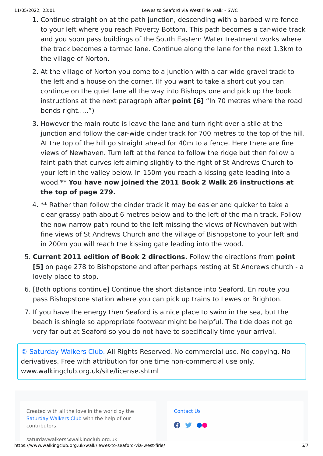- 1. Continue straight on at the path junction, descending with a barbed-wire fence to your left where you reach Poverty Bottom. This path becomes a car-wide track and you soon pass buildings of the South Eastern Water treatment works where the track becomes a tarmac lane. Continue along the lane for the next 1.3km to the village of Norton.
- 2. At the village of Norton you come to a junction with a car-wide gravel track to the left and a house on the corner. (If you want to take a short cut you can continue on the quiet lane all the way into Bishopstone and pick up the book instructions at the next paragraph after **point [6]** "In 70 metres where the road bends right…..")
- 3. However the main route is leave the lane and turn right over a stile at the junction and follow the car-wide cinder track for 700 metres to the top of the hill. At the top of the hill go straight ahead for 40m to a fence. Here there are fine views of Newhaven. Turn left at the fence to follow the ridge but then follow a faint path that curves left aiming slightly to the right of St Andrews Church to your left in the valley below. In 150m you reach a kissing gate leading into a wood.\*\* **You have now joined the 2011 Book 2 Walk 26 instructions at the top of page 279.**
- 4. \*\* Rather than follow the cinder track it may be easier and quicker to take a clear grassy path about 6 metres below and to the left of the main track. Follow the now narrow path round to the left missing the views of Newhaven but with fine views of St Andrews Church and the village of Bishopstone to your left and in 200m you will reach the kissing gate leading into the wood.
- 5. **Current 2011 edition of Book 2 directions.** Follow the directions from **point [5]** on page 278 to Bishopstone and after perhaps resting at St Andrews church - a lovely place to stop.
- 6. [Both options continue] Continue the short distance into Seaford. En route you pass Bishopstone station where you can pick up trains to Lewes or Brighton.
- 7. If you have the energy then Seaford is a nice place to swim in the sea, but the beach is shingle so appropriate footwear might be helpful. The tide does not go very far out at Seaford so you do not have to specifically time your arrival.

[© Saturday Walkers Club.](https://www.walkingclub.org.uk/site/license.shtml) All Rights Reserved. No commercial use. No copying. No derivatives. Free with attribution for one time non-commercial use only. www.walkingclub.org.uk/site/license.shtml

Created with all the love in the world by the [Saturday Walkers Club](https://www.walkingclub.org.uk/swc/) with the help of our contributors.